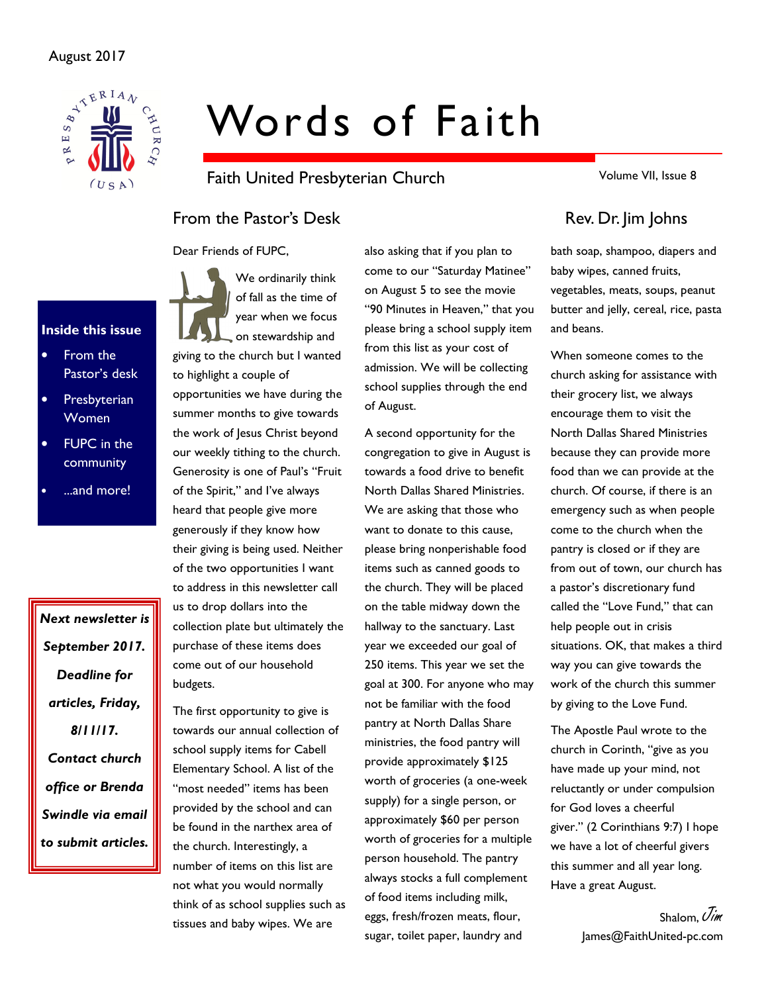# August 2017



# Words of Faith

Faith United Presbyterian Church

Volume VII, Issue 8

# From the Pastor's Desk Rev. Dr. Jim Johns

Dear Friends of FUPC,



- From the Pastor's desk
- **Presbyterian** Women
- **FUPC** in the community
- ...and more!

Next newsletter is September 2017. Deadline for articles, Friday, 8/11/17. Contact church office or Brenda Swindle via email to submit articles.

We ordinarily think of fall as the time of year when we focus on stewardship and giving to the church but I wanted to highlight a couple of

opportunities we have during the summer months to give towards the work of Jesus Christ beyond our weekly tithing to the church. Generosity is one of Paul's "Fruit of the Spirit," and I've always heard that people give more generously if they know how their giving is being used. Neither of the two opportunities I want to address in this newsletter call us to drop dollars into the collection plate but ultimately the purchase of these items does come out of our household budgets.

The first opportunity to give is towards our annual collection of school supply items for Cabell Elementary School. A list of the "most needed" items has been provided by the school and can be found in the narthex area of the church. Interestingly, a number of items on this list are not what you would normally think of as school supplies such as tissues and baby wipes. We are

also asking that if you plan to come to our "Saturday Matinee" on August 5 to see the movie "90 Minutes in Heaven," that you please bring a school supply item from this list as your cost of admission. We will be collecting school supplies through the end of August.

A second opportunity for the congregation to give in August is towards a food drive to benefit North Dallas Shared Ministries. We are asking that those who want to donate to this cause, please bring nonperishable food items such as canned goods to the church. They will be placed on the table midway down the hallway to the sanctuary. Last year we exceeded our goal of 250 items. This year we set the goal at 300. For anyone who may not be familiar with the food pantry at North Dallas Share ministries, the food pantry will provide approximately \$125 worth of groceries (a one-week supply) for a single person, or approximately \$60 per person worth of groceries for a multiple person household. The pantry always stocks a full complement of food items including milk, eggs, fresh/frozen meats, flour, sugar, toilet paper, laundry and

bath soap, shampoo, diapers and baby wipes, canned fruits, vegetables, meats, soups, peanut butter and jelly, cereal, rice, pasta and beans.

When someone comes to the church asking for assistance with their grocery list, we always encourage them to visit the North Dallas Shared Ministries because they can provide more food than we can provide at the church. Of course, if there is an emergency such as when people come to the church when the pantry is closed or if they are from out of town, our church has a pastor's discretionary fund called the "Love Fund," that can help people out in crisis situations. OK, that makes a third way you can give towards the work of the church this summer by giving to the Love Fund.

The Apostle Paul wrote to the church in Corinth, "give as you have made up your mind, not reluctantly or under compulsion for God loves a cheerful giver." (2 Corinthians 9:7) I hope we have a lot of cheerful givers this summer and all year long. Have a great August.

> Shalom, Uim James@FaithUnited-pc.com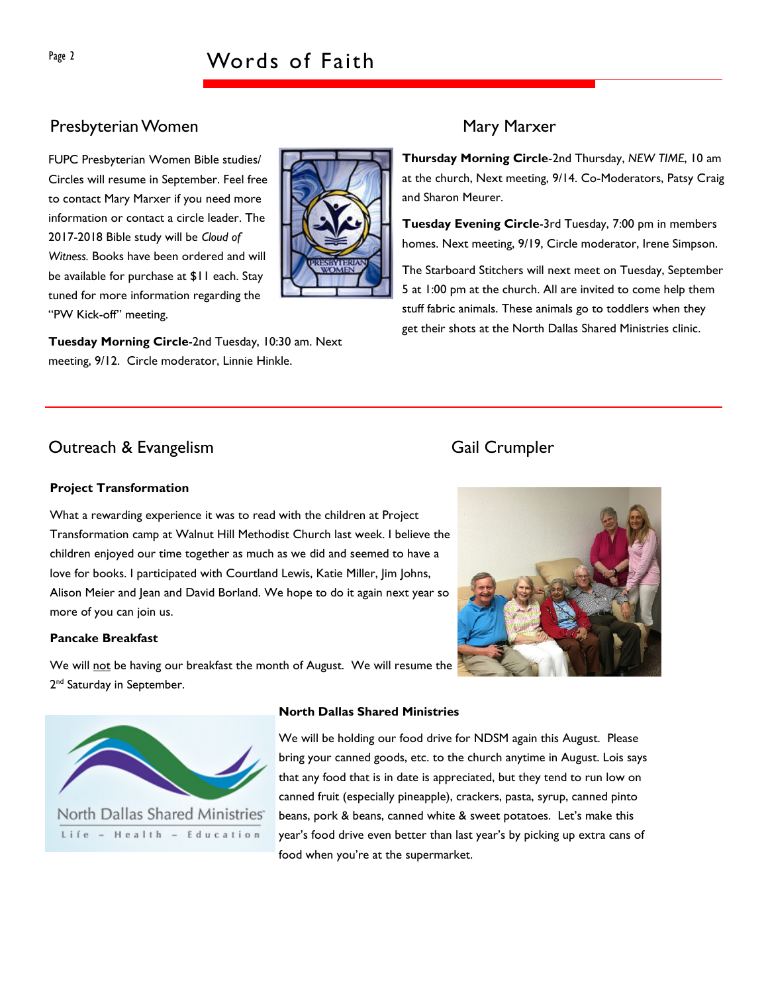# Presbyterian Women Mary Marxer

FUPC Presbyterian Women Bible studies/ Circles will resume in September. Feel free to contact Mary Marxer if you need more information or contact a circle leader. The 2017-2018 Bible study will be Cloud of Witness. Books have been ordered and will be available for purchase at \$11 each. Stay tuned for more information regarding the "PW Kick-off" meeting.



Thursday Morning Circle-2nd Thursday, NEW TIME, 10 am at the church, Next meeting, 9/14. Co-Moderators, Patsy Craig and Sharon Meurer.

Tuesday Evening Circle-3rd Tuesday, 7:00 pm in members homes. Next meeting, 9/19, Circle moderator, Irene Simpson.

The Starboard Stitchers will next meet on Tuesday, September 5 at 1:00 pm at the church. All are invited to come help them stuff fabric animals. These animals go to toddlers when they get their shots at the North Dallas Shared Ministries clinic.

# Outreach & Evangelism Gail Crumpler

### Project Transformation

What a rewarding experience it was to read with the children at Project Transformation camp at Walnut Hill Methodist Church last week. I believe the children enjoyed our time together as much as we did and seemed to have a love for books. I participated with Courtland Lewis, Katie Miller, Jim Johns, Alison Meier and Jean and David Borland. We hope to do it again next year so more of you can join us.

### Pancake Breakfast

We will not be having our breakfast the month of August. We will resume the 2<sup>nd</sup> Saturday in September.





North Dallas Shared Ministries Life - Health - Education

### North Dallas Shared Ministries

We will be holding our food drive for NDSM again this August. Please bring your canned goods, etc. to the church anytime in August. Lois says that any food that is in date is appreciated, but they tend to run low on canned fruit (especially pineapple), crackers, pasta, syrup, canned pinto beans, pork & beans, canned white & sweet potatoes. Let's make this year's food drive even better than last year's by picking up extra cans of food when you're at the supermarket.

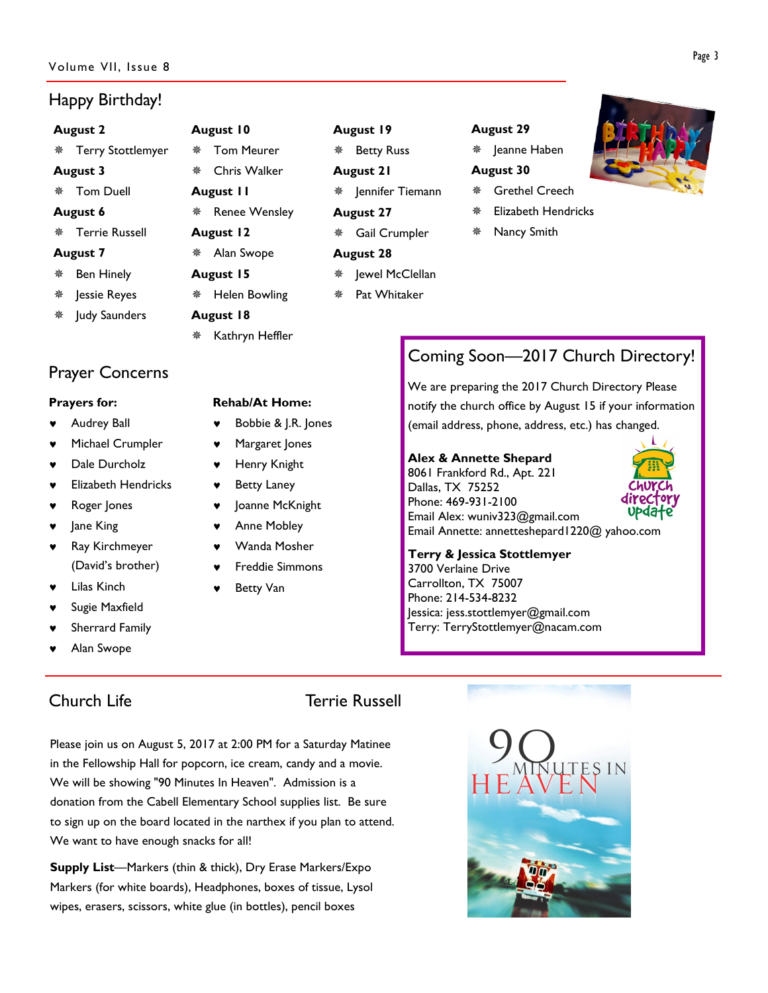### Volume VII, Issue 8

# Happy Birthday!

# August 2

### August 3

Tom Duell

- Terrie Russell
- 
- Jessie Reyes
- Judy Saunders

# Prayer Concerns

## Prayers for:

- **Audrey Ball**
- Michael Crumpler
- Dale Durcholz
- **Elizabeth Hendricks**
- Roger Jones
- ♥ Jane King
- ♥ Ray Kirchmeyer (David's brother)
- **Lilas Kinch**
- Sugie Maxfield
- Sherrard Family
- Alan Swope

# August 10

Chris Walker

\* Renee Wensley

Helen Bowling

\* Kathryn Heffler

August 11

August 12 Alan Swope August 15

August 18

- Terry Stottlemyer Tom Meurer
	-
	-
- August 6
- 
- August 7
- Ben Hinely
- 
- 
- 

# Rehab/At Home:

- Bobbie & J.R. Jones
- ♥ Margaret Jones
- Henry Knight
- ♥ Betty Laney
- Joanne McKnight
- Anne Mobley
- Wanda Mosher
- **Freddie Simmons**
- **Betty Van**

# August 19

- Betty Russ
- August 21
	- $*$  Jennifer Tiemann
	- August 27 Gail Crumpler
	- August 28
		- Jewel McClellan
		- Pat Whitaker

# August 29

Jeanne Haben

# August 30

- Grethel Creech
- Elizabeth Hendricks
- Nancy Smith



# Coming Soon—2017 Church Directory!

We are preparing the 2017 Church Directory Please notify the church office by August 15 if your information (email address, phone, address, etc.) has changed.

# Alex & Annette Shepard

8061 Frankford Rd., Apt. 221 Dallas, TX 75252 Phone: 469-931-2100 Email Alex: wuniv323@gmail.com Email Annette: annetteshepard1220@ yahoo.com



Terry & Jessica Stottlemyer 3700 Verlaine Drive Carrollton, TX 75007 Phone: 214-534-8232 Jessica: jess.stottlemyer@gmail.com Terry: TerryStottlemyer@nacam.com

# Church Life **Terrie Russell**

Please join us on August 5, 2017 at 2:00 PM for a Saturday Matinee in the Fellowship Hall for popcorn, ice cream, candy and a movie. We will be showing "90 Minutes In Heaven". Admission is a donation from the Cabell Elementary School supplies list. Be sure to sign up on the board located in the narthex if you plan to attend. We want to have enough snacks for all!

Supply List—Markers (thin & thick), Dry Erase Markers/Expo Markers (for white boards), Headphones, boxes of tissue, Lysol wipes, erasers, scissors, white glue (in bottles), pencil boxes



# Page 3